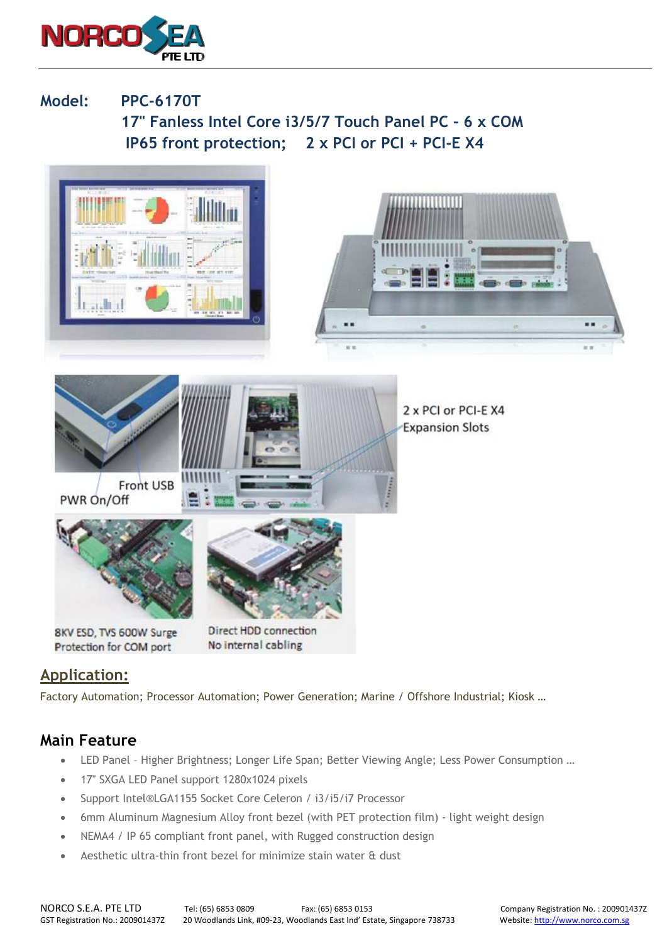

**Model: PPC-6170T 17" Fanless Intel Core i3/5/7 Touch Panel PC - 6 x COM IP65 front protection; 2 x PCI or PCI + PCI-E X4** 



## **Application:**

Factory Automation; Processor Automation; Power Generation; Marine / Offshore Industrial; Kiosk …

## **Main Feature**

- LED Panel Higher Brightness; Longer Life Span; Better Viewing Angle; Less Power Consumption …
- 17" SXGA LED Panel support 1280x1024 pixels
- Support Intel®LGA1155 Socket Core Celeron / i3/i5/i7 Processor
- 6mm Aluminum Magnesium Alloy front bezel (with PET protection film) light weight design
- NEMA4 / IP 65 compliant front panel, with Rugged construction design
- Aesthetic ultra-thin front bezel for minimize stain water & dust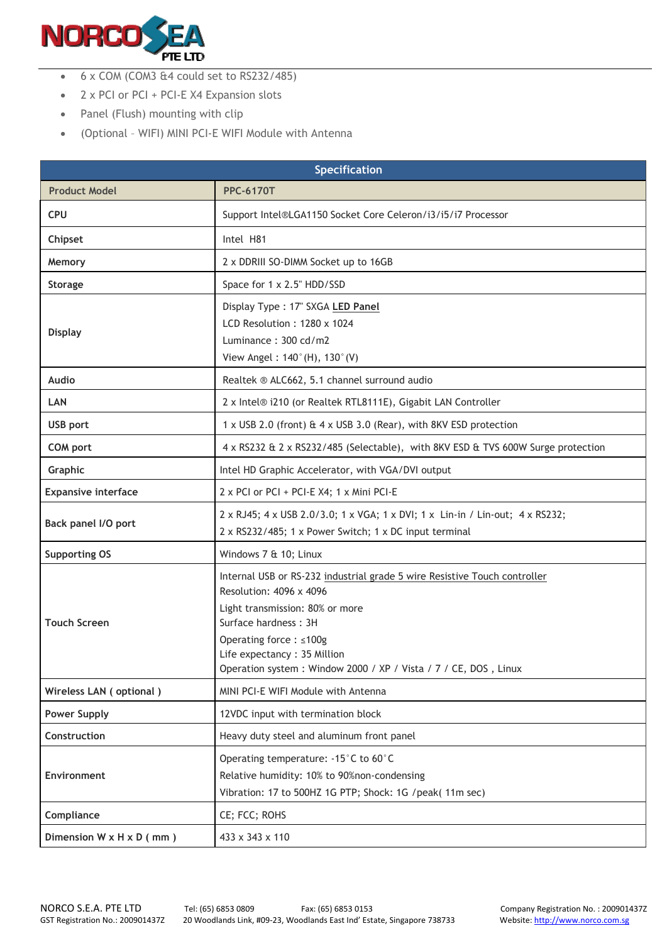

- 6 x COM (COM3 &4 could set to RS232/485)
- 2 x PCI or PCI + PCI-E X4 Expansion slots
- Panel (Flush) mounting with clip
- (Optional WIFI) MINI PCI-E WIFI Module with Antenna

| <b>Specification</b>                 |                                                                                                                                                                                                                                                                                              |  |
|--------------------------------------|----------------------------------------------------------------------------------------------------------------------------------------------------------------------------------------------------------------------------------------------------------------------------------------------|--|
| <b>Product Model</b>                 | <b>PPC-6170T</b>                                                                                                                                                                                                                                                                             |  |
| <b>CPU</b>                           | Support Intel®LGA1150 Socket Core Celeron/i3/i5/i7 Processor                                                                                                                                                                                                                                 |  |
| Chipset                              | Intel H81                                                                                                                                                                                                                                                                                    |  |
| Memory                               | 2 x DDRIII SO-DIMM Socket up to 16GB                                                                                                                                                                                                                                                         |  |
| <b>Storage</b>                       | Space for 1 x 2.5" HDD/SSD                                                                                                                                                                                                                                                                   |  |
| <b>Display</b>                       | Display Type: 17" SXGA LED Panel<br>LCD Resolution: 1280 x 1024<br>Luminance: 300 cd/m2<br>View Angel: 140°(H), 130°(V)                                                                                                                                                                      |  |
| Audio                                | Realtek ® ALC662, 5.1 channel surround audio                                                                                                                                                                                                                                                 |  |
| LAN                                  | 2 x Intel® i210 (or Realtek RTL8111E), Gigabit LAN Controller                                                                                                                                                                                                                                |  |
| <b>USB</b> port                      | 1 x USB 2.0 (front) & 4 x USB 3.0 (Rear), with 8KV ESD protection                                                                                                                                                                                                                            |  |
| <b>COM port</b>                      | 4 x RS232 & 2 x RS232/485 (Selectable), with 8KV ESD & TVS 600W Surge protection                                                                                                                                                                                                             |  |
| Graphic                              | Intel HD Graphic Accelerator, with VGA/DVI output                                                                                                                                                                                                                                            |  |
| <b>Expansive interface</b>           | 2 x PCI or PCI + PCI-E X4; 1 x Mini PCI-E                                                                                                                                                                                                                                                    |  |
| Back panel I/O port                  | 2 x RJ45; 4 x USB 2.0/3.0; 1 x VGA; 1 x DVI; 1 x Lin-in / Lin-out; 4 x RS232;<br>2 x RS232/485; 1 x Power Switch; 1 x DC input terminal                                                                                                                                                      |  |
| <b>Supporting OS</b>                 | Windows 7 & 10; Linux                                                                                                                                                                                                                                                                        |  |
| <b>Touch Screen</b>                  | Internal USB or RS-232 industrial grade 5 wire Resistive Touch controller<br>Resolution: 4096 x 4096<br>Light transmission: 80% or more<br>Surface hardness: 3H<br>Operating force : ≤100g<br>Life expectancy: 35 Million<br>Operation system: Window 2000 / XP / Vista / 7 / CE, DOS, Linux |  |
| Wireless LAN (optional)              | MINI PCI-E WIFI Module with Antenna                                                                                                                                                                                                                                                          |  |
| <b>Power Supply</b>                  | 12VDC input with termination block                                                                                                                                                                                                                                                           |  |
| Construction                         | Heavy duty steel and aluminum front panel                                                                                                                                                                                                                                                    |  |
| Environment                          | Operating temperature: -15°C to 60°C<br>Relative humidity: 10% to 90%non-condensing<br>Vibration: 17 to 500HZ 1G PTP; Shock: 1G /peak(11m sec)                                                                                                                                               |  |
| Compliance                           | CE; FCC; ROHS                                                                                                                                                                                                                                                                                |  |
| Dimension $W \times H \times D$ (mm) | 433 x 343 x 110                                                                                                                                                                                                                                                                              |  |